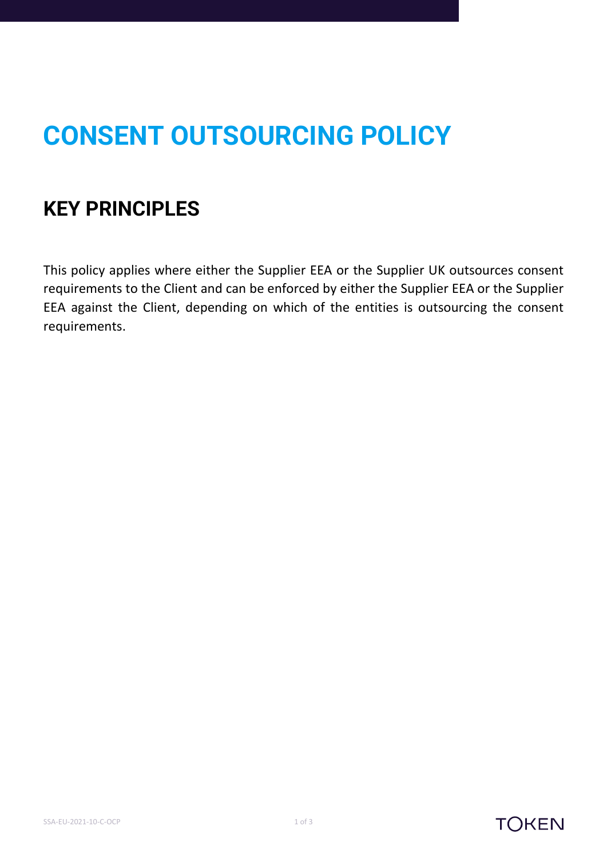## **CONSENT OUTSOURCING POLICY**

## **KEY PRINCIPLES**

This policy applies where either the Supplier EEA or the Supplier UK outsources consent requirements to the Client and can be enforced by either the Supplier EEA or the Supplier EEA against the Client, depending on which of the entities is outsourcing the consent requirements.



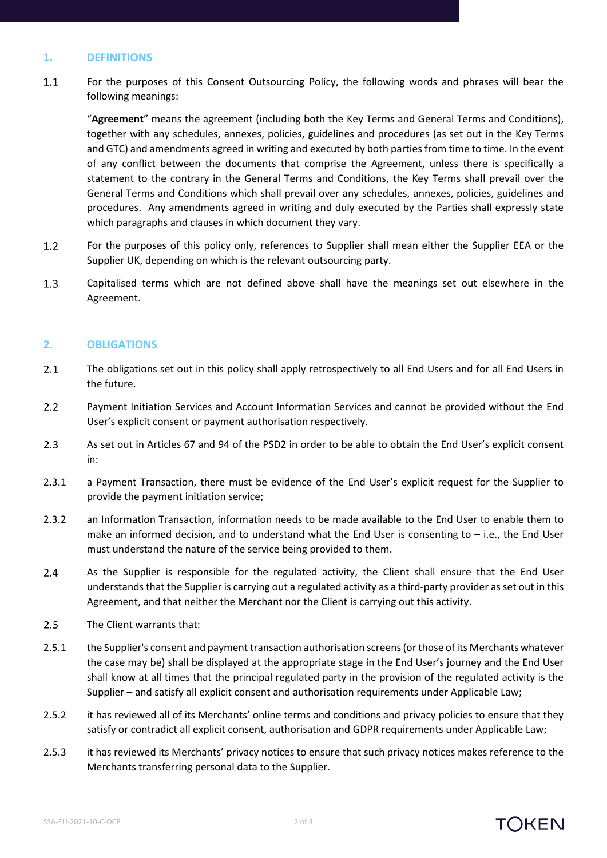## **1. DEFINITIONS**

 $1.1$ For the purposes of this Consent Outsourcing Policy, the following words and phrases will bear the following meanings:

"**Agreement**" means the agreement (including both the Key Terms and General Terms and Conditions), together with any schedules, annexes, policies, guidelines and procedures (as set out in the Key Terms and GTC) and amendments agreed in writing and executed by both parties from time to time. In the event of any conflict between the documents that comprise the Agreement, unless there is specifically a statement to the contrary in the General Terms and Conditions, the Key Terms shall prevail over the General Terms and Conditions which shall prevail over any schedules, annexes, policies, guidelines and procedures. Any amendments agreed in writing and duly executed by the Parties shall expressly state which paragraphs and clauses in which document they vary.

- $1.2$ For the purposes of this policy only, references to Supplier shall mean either the Supplier EEA or the Supplier UK, depending on which is the relevant outsourcing party.
- $1.3$ Capitalised terms which are not defined above shall have the meanings set out elsewhere in the Agreement.

## **2. OBLIGATIONS**

- $2.1$ The obligations set out in this policy shall apply retrospectively to all End Users and for all End Users in the future.
- $2.2$ Payment Initiation Services and Account Information Services and cannot be provided without the End User's explicit consent or payment authorisation respectively.
- $2.3$ As set out in Articles 67 and 94 of the PSD2 in order to be able to obtain the End User's explicit consent in:
- 2.3.1 a Payment Transaction, there must be evidence of the End User's explicit request for the Supplier to provide the payment initiation service;
- 2.3.2 an Information Transaction, information needs to be made available to the End User to enable them to make an informed decision, and to understand what the End User is consenting to – i.e., the End User must understand the nature of the service being provided to them.
- $2.4$ As the Supplier is responsible for the regulated activity, the Client shall ensure that the End User understands that the Supplier is carrying out a regulated activity as a third-party provider as set out in this Agreement, and that neither the Merchant nor the Client is carrying out this activity.
- $2.5$ The Client warrants that:
- 2.5.1 the Supplier's consent and payment transaction authorisation screens (or those of its Merchants whatever the case may be) shall be displayed at the appropriate stage in the End User's journey and the End User shall know at all times that the principal regulated party in the provision of the regulated activity is the Supplier – and satisfy all explicit consent and authorisation requirements under Applicable Law;
- 2.5.2 it has reviewed all of its Merchants' online terms and conditions and privacy policies to ensure that they satisfy or contradict all explicit consent, authorisation and GDPR requirements under Applicable Law;
- 2.5.3 it has reviewed its Merchants' privacy notices to ensure that such privacy notices makes reference to the Merchants transferring personal data to the Supplier.